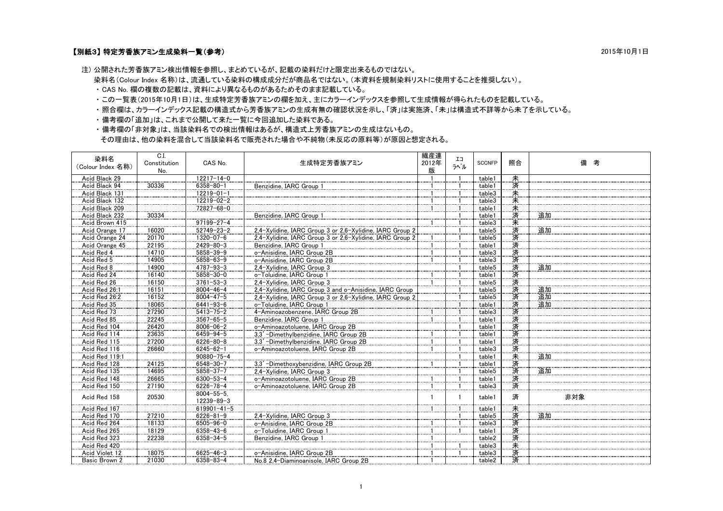## 【別紙3】 特定芳香族アミン生成染料一覧(参考) 2015年10月1日

注) 公開された芳香族アミン検出情報を参照し、まとめているが、記載の染料だけと限定出来るものではない。

染料名(Colour Index 名称)は、流通している染料の構成成分だが商品名ではない。(本資料を規制染料リストに使用することを推奨しない)。

・ CAS No. 欄の複数の記載は、資料により異なるものがあるためそのまま記載している。

・ この一覧表(2015年10月1日)は、生成特定芳香族アミンの欄を加え、主にカラーインデックスを参照して生成情報が得られたものを記載している。

- ・ 照合欄は、カラーインデックス記載の構造式から芳香族アミンの生成有無の確認状況を示し、「済」は実施済、「未」は構造式不詳等から未了を示している。
- ・ 備考欄の「追加」は、これまで公開して来た一覧に今回追加した染料である。

 ・ 備考欄の「非対象」は、当該染料名での検出情報はあるが、構造式上芳香族アミンの生成はないもの。 その理由は、他の染料を混合して当該染料名で販売された場合や不純物(未反応の原料等)が原因と想定される。

| 染料名<br>(Colour Index 名称) | C.I.<br>Constitution<br>No. | CAS No.                               | 生成特定芳香族アミン                                               | 繊産連<br>2012年<br>版 | IJ<br>ラベル | <b>SCCNFP</b> | 照合   | 考<br>備 |
|--------------------------|-----------------------------|---------------------------------------|----------------------------------------------------------|-------------------|-----------|---------------|------|--------|
| Acid Black 29            |                             | 12217-14-0                            |                                                          |                   |           | table1        |      |        |
| Acid Black 94            | 30336                       | $6358 - 80 - 1$                       | Benzidine, IARC Group                                    |                   |           | table1        | 未済   |        |
| Acid Black 131           |                             | $12219 - 01 - 1$                      |                                                          |                   |           | table3        | 未    |        |
| Acid Black 132           |                             | 12219-02-2                            |                                                          |                   |           | table3        | 未    |        |
| Acid Black 209           |                             | 72827-68-0                            |                                                          |                   |           | table1        |      |        |
| Acid Black 232           | 30334                       |                                       | Benzidine, IARC Group 1                                  |                   |           | table1        | 未済   | 追加     |
| Acid Brown 415           |                             | $97199 - 27 - 4$                      |                                                          |                   |           | table3        | 未    |        |
| Acid Orange 17           | 16020                       | $52749 - 23 - 2$                      | 2.4-Xvlidine, IARC Group 3 or 2.6-Xvlidine, IARC Group 2 |                   |           | table5        | 済    | 追加     |
| Acid Orange 24           | 20170                       | $1320 - 07 - 6$                       | 2.4-Xylidine, IARC Group 3 or 2.6-Xylidine, IARC Group 2 |                   |           | table5        | 済    |        |
| Acid Orange 45           | 22195                       | $2429 - 80 - 3$                       | Benzidine, IARC Group 1                                  |                   |           | table1        | 済    |        |
| Acid Red 4               | 14710                       | $5858 - 39 - 9$                       | o-Anisidine, IARC Group 2B                               |                   |           | table3        | 済    |        |
| Acid Red 5               | 14905                       | $5858 - 63 - 9$                       | o-Anisidine, IARC Group 2B                               |                   |           | table3        | 済    |        |
| Acid Red 8               | 14900                       | $4787 - 93 - 3$                       | 2.4-Xvlidine, IARC Group 3                               |                   |           | table5        | 済    | 追加     |
| Acid Red 24              | 16140                       | $5858 - 30 - 0$                       | o-Toluidine, IARC Group 1                                |                   |           | table1        | 済済済  |        |
| Acid Red 26              | 16150                       | $3761 - 53 - 3$                       | 2.4-Xvlidine, IARC Group 3                               |                   |           | table5        |      |        |
| Acid Red 26:1            | 16151                       | $8004 - 46 - 4$                       | 2.4-Xylidine, IARC Group 3 and o-Anisidine, IARC Group   |                   |           | table5        |      | 追加     |
| Acid Red 26:2            | 16152                       | $8004 - 47 - 5$                       | 2.4-Xvlidine. IARC Group 3 or 2.6-Xvlidine. IARC Group 2 |                   |           | table5        | 済    | 追加     |
| Acid Red 35              | 18065                       | $6441 - 93 - 6$                       | o-Toluidine, IARC Group 1                                |                   |           | table1        |      | 追加     |
| Acid Red 73              | 27290                       | $5413 - 75 - 2$                       | 4-Aminoazobenzene, IARC Group 2B                         |                   |           | table3        | 済済   |        |
| Acid Red 85              | 22245                       | $3567 - 65 - 5$                       | Benzidine, IARC Group 1                                  |                   |           | table1        | 済    |        |
| Acid Red 104             | 26420                       | $8006 - 06 - 2$                       | o-Aminoazotoluene, IARC Group 2B                         |                   |           | table1        | 済    |        |
| Acid Red 114             | 23635                       | $6459 - 94 - 5$                       | 3.3' -Dimethylbenzidine, IARC Group 2B                   |                   |           | table1        | 済    |        |
| Acid Red 115             | 27200                       | $6226 - 80 - 8$                       | 3.3' -Dimethylbenzidine, IARC Group 2B                   |                   |           | table1        | 済    |        |
| Acid Red 116             | 26660                       | $6245 - 62 - 1$                       | o-Aminoazotoluene, IARC Group 2B                         |                   |           | table3        | 済未   |        |
| Acid Red 119:1           |                             | $90880 - 75 - 4$                      |                                                          |                   |           | table1        |      | 追加     |
| Acid Red 128             | 24125                       | 6548-30-7                             | 3,3'-Dimethoxybenzidine, IARC Group 2B                   |                   |           | table1        | 済    |        |
| Acid Red 135             | 14695                       | $5858 - 37 - 7$                       | 2.4-Xvlidine. IARC Group 3                               |                   |           | table5        | 済    | 追加     |
| Acid Red 148             | 26665                       | $6300 - 53 - 4$                       | o-Aminoazotoluene, IARC Group 2B                         |                   |           | table1        | 済    |        |
| Acid Red 150             | 27190                       | $6226 - 78 - 4$                       | o-Aminoazotoluene, IARC Group 2B                         |                   |           | table3        | 済    |        |
| Acid Red 158             | 20530                       | $8004 - 55 - 5$ .<br>$12239 - 89 - 3$ |                                                          |                   |           | table1        | 済    | 非対象    |
| Acid Red 167             |                             | $619901 - 41 - 5$                     |                                                          |                   |           | table1        |      |        |
| Acid Red 170             | 27210                       | $6226 - 81 - 9$                       | 2.4-Xylidine, IARC Group 3                               |                   |           | table5        |      | 追加     |
| Acid Red 264             | 18133                       | $6505 - 96 - 0$                       | o-Anisidine, IARC Group 2B                               |                   |           | table3        | 未済済済 |        |
| Acid Red 265             | 18129                       | $6358 - 43 - 6$                       | o-Toluidine, IARC Group 1                                |                   |           | table1        |      |        |
| Acid Red 323             | 22238                       | $6358 - 34 - 5$                       | Benzidine, IARC Group 1                                  |                   |           | table2        | 済    |        |
| Acid Red 420             |                             |                                       |                                                          |                   |           | table3        |      |        |
| Acid Violet 12           | 18075                       | $6625 - 46 - 3$                       | o-Anisidine, IARC Group 2B                               |                   |           | table3        |      |        |
| Basic Brown 2            | 21030                       | $6358 - 83 - 4$                       | No.8 2.4-Diaminoanisole, IARC Group 2B                   |                   |           | table2        | 未済済  |        |
|                          |                             |                                       |                                                          |                   |           |               |      |        |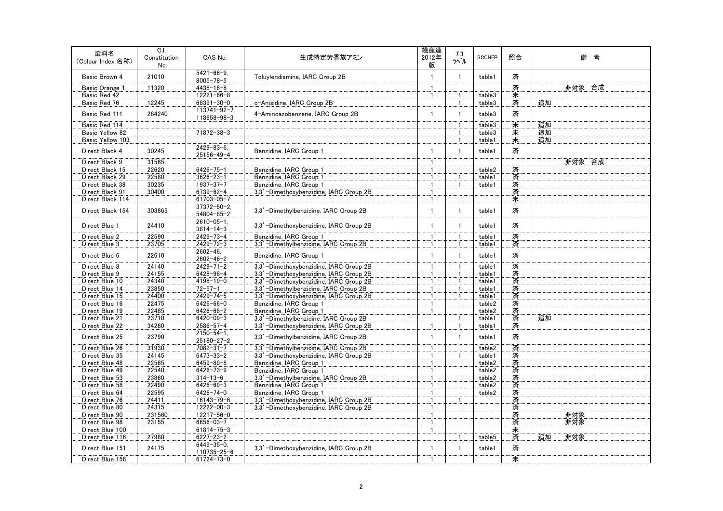| 染料名<br>(Colour Index 名称) | C.I.<br>Constitution<br>No. | CAS No.                                | 生成特定芳香族アミン                              | 繊産連<br>2012年<br>版 | IJ<br>ラベル    | <b>SCCNFP</b> | 照合     | 備 考       |
|--------------------------|-----------------------------|----------------------------------------|-----------------------------------------|-------------------|--------------|---------------|--------|-----------|
| Basic Brown 4            | 21010                       | $5421 - 66 - 9$ .<br>$8005 - 78 - 5$   | Toluylendiamine, IARC Group 2B          | $\mathbf{1}$      | $\mathbf{1}$ | table1        | 済      |           |
| Basic Orange 1           | 11320                       | $4438 - 16 - 8$                        |                                         |                   |              |               | 済      | 非対象 合成    |
| Basic Red 42             |                             | $12221 - 66 - 8$                       |                                         | $\mathbf{1}$      | $\mathbf{1}$ | table3        | 未      |           |
| Basic Red 76             | 12245                       | 68391-30-0                             | o-Anisidine, IARC Group 2B              |                   |              | table3        | 済      | 追加        |
| Basic Red 111            | 284240                      | $113741 - 92 - 7$ .<br>118658-98-3     | 4-Aminoazobenzene, IARC Group 2B        | $\mathbf{1}$      | $\mathbf{1}$ | table3        | 済      |           |
| Basic Red 114            |                             |                                        |                                         |                   |              | table3        | 未      | 追加        |
| Basic Yellow 82          |                             | 71872-38-3                             |                                         |                   |              | table3        | 未      | 追加        |
| Basic Yellow 103         |                             |                                        |                                         |                   |              | table1        | 未      | 追加        |
| Direct Black 4           | 30245                       | $2429 - 83 - 6$ .<br>25156-49-4        | Benzidine, IARC Group 1                 | 1                 | $\mathbf{1}$ | table1        | 済      |           |
| Direct Black 9           | 31565                       |                                        |                                         |                   |              |               |        | 非対象 合成    |
| Direct Black 15          | 22620                       | $6426 - 75 - 1$                        | Benzidine, IARC Group 1                 | -1                |              | table2        | 済      |           |
| Direct Black 29          | 22580                       | $3626 - 23 - 1$                        | Benzidine, IARC Group 1                 |                   |              | table1        |        |           |
| Direct Black 38          | 30235                       | $1937 - 37 - 7$                        | Benzidine, IARC Group 1                 |                   |              | table1        | 済済     |           |
| Direct Black 91          | 30400                       | $6739 - 62 - 4$                        | 3,3'-Dimethoxybenzidine, IARC Group 2B  | 1                 |              |               | 済      |           |
| Direct Black 114         |                             | 61703-05-7                             |                                         |                   |              |               | 未      |           |
| Direct Black 154         | 303865                      | $37372 - 50 - 2$ .<br>$54804 - 85 - 2$ | 3.3' -Dimethylbenzidine. IARC Group 2B  | $\mathbf{1}$      |              | table1        | 済      |           |
| Direct Blue 1            | 24410                       | $2610 - 05 - 1$ .<br>$3814 - 14 - 3$   | 3,3' -Dimethoxybenzidine, IARC Group 2B | $\mathbf{1}$      | 1            | table1        | 済      |           |
| Direct Blue 2            | 22590                       | $2429 - 73 - 4$                        | Benzidine, IARC Group 1                 | 1                 |              | table1        | 済      |           |
| Direct Blue 3            | 23705                       | $2429 - 72 - 3$                        | 3,3'-Dimethylbenzidine, IARC Group 2B   |                   |              | table1        | 済      |           |
| Direct Blue 6            | 22610                       | $2602 - 46.$<br>$2602 - 46 - 2$        | Benzidine, IARC Group 1                 | 1                 | $\mathbf{1}$ | table1        | 済      |           |
| Direct Blue 8            | 24140                       | $2429 - 71 - 2$                        | 3,3' -Dimethoxybenzidine, IARC Group 2B |                   |              | table1        | 済      |           |
| Direct Blue 9            | 24155                       | $6428 - 98 - 4$                        | 3,3' -Dimethoxybenzidine, IARC Group 2B | $\mathbf{1}$      |              | table1        | 済      |           |
| Direct Blue 10           | 24340                       | $4198 - 19 - 0$                        | 3,3' -Dimethoxybenzidine, IARC Group 2B | -1                |              | table1        | 済      |           |
| Direct Blue 14           | 23850                       | $72 - 57 - 1$                          | 3,3' -Dimethylbenzidine, IARC Group 2B  |                   |              | table1        | 済      |           |
| Direct Blue 15           | 24400                       | $2429 - 74 - 5$                        | 3.3' -Dimethoxybenzidine. IARC Group 2B |                   |              | table1        | 済      |           |
| Direct Blue 16           | 22475                       | $6426 - 66 - 0$                        | Benzidine, IARC Group 1                 |                   |              | table2        | 済      |           |
| Direct Blue 19           | 22485                       | $6426 - 68 - 2$                        | Benzidine, IARC Group 1                 |                   |              | table2        | 済      |           |
| Direct Blue 21           | 23710                       | $6420 - 09 - 3$                        | 3,3' -Dimethylbenzidine, IARC Group 2B  |                   |              | table1        | 済      | 追加        |
| Direct Blue 22           | 34280                       | $2586 - 57 - 4$                        | 3,3' -Dimethoxybenzidine, IARC Group 2B |                   |              | table1        | 済      |           |
|                          |                             | $2150 - 54 - 1$ .                      |                                         |                   |              |               |        |           |
| Direct Blue 25           | 23790                       | $25180 - 27 - 2$                       | 3.3' -Dimethylbenzidine. IARC Group 2B  | $\mathbf{1}$      | $\mathbf{1}$ | table1        | 済<br>済 |           |
| Direct Blue 26           | 31930                       | $7082 - 31 - 7$                        | 3.3' -Dimethylbenzidine. IARC Group 2B  | $\overline{1}$    |              | table2        |        |           |
| Direct Blue 35           | 24145                       | $6473 - 33 - 2$                        | 3,3' -Dimethoxybenzidine, IARC Group 2B |                   |              | table1        | 済      |           |
| Direct Blue 48           | 22565                       | $6459 - 89 - 8$                        | Benzidine, IARC Group 1                 | $\mathbf{1}$      |              | table2        | 済      |           |
| Direct Blue 49           | 22540                       | $6426 - 73 - 9$                        | Benzidine, IARC Group 1                 |                   |              | table2        | 済      |           |
| Direct Blue 53           | 23860                       | $314 - 13 - 6$                         | 3,3' -Dimethylbenzidine, IARC Group 2B  |                   |              | table2        | 済済     |           |
| Direct Blue 58           | 22490                       | $6426 - 69 - 3$                        | Benzidine, IARC Group 1                 | 1                 |              | table2        |        |           |
| Direct Blue 64           | 22595                       | $6426 - 74 - 0$                        | Benzidine, IARC Group 1                 |                   |              | table2        | 済      |           |
| Direct Blue 76           | 24411                       | $16143 - 79 - 6$                       | 3,3' -Dimethoxybenzidine, IARC Group 2B | 1                 |              |               | 済      |           |
| Direct Blue 80           | 24315                       | $12222 - 00 - 3$                       | 3.3' -Dimethoxybenzidine. IARC Group 2B |                   |              |               | 済      |           |
| Direct Blue 90           | 231560                      | 12217-56-0                             |                                         |                   |              |               | 済      | 非対象       |
| Direct Blue 98           | 23155                       | $6656 - 03 - 7$                        |                                         | $\overline{1}$    |              |               | 済      | 非対象       |
| Direct Blue 100          |                             | $61814 - 75 - 3$                       |                                         | $\mathbf{1}$      |              |               | 未済     |           |
| Direct Blue 116          | 27980                       | $6227 - 23 - 2$                        |                                         |                   |              | table5        |        | 非対象<br>追加 |
| Direct Blue 151          | 24175                       | $6449 - 35 - 0$<br>110735-25-6         | 3,3' -Dimethoxybenzidine, IARC Group 2B |                   |              | table1        | 済      |           |
| Direct Blue 156          |                             | 61724-73-0                             |                                         |                   |              |               | 未      |           |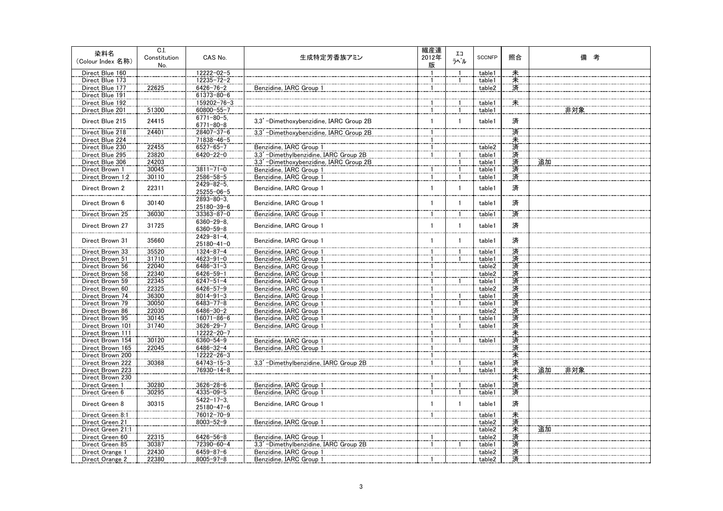| 染料名<br>(Colour Index 名称)             | C.I.<br>Constitution | CAS No.                            | 生成特定芳香族アミン                                         | 繊産連<br>2012年   | IJ<br>ラベル    | <b>SCCNFP</b> | 照合     | 備 考       |
|--------------------------------------|----------------------|------------------------------------|----------------------------------------------------|----------------|--------------|---------------|--------|-----------|
|                                      | No.                  |                                    |                                                    | 版              |              |               |        |           |
| Direct Blue 160                      |                      | $12222 - 02 - 5$                   |                                                    |                |              | table1        | 耒      |           |
| Direct Blue 173                      |                      | 12235-72-2                         |                                                    | $\mathbf{1}$   |              | table1        | 未<br>済 |           |
| Direct Blue 177                      | 22625                | $6426 - 76 - 2$                    | Benzidine, IARC Group 1                            | $\mathbf{1}$   |              | table2        |        |           |
| Direct Blue 191                      |                      | 61373-80-6                         |                                                    |                |              |               | $\ast$ |           |
| Direct Blue 192                      |                      | 159202-76-3                        |                                                    |                |              | table1        |        |           |
| Direct Blue 201                      | 51300                | 60800-55-7                         |                                                    | $\mathbf{1}$   |              | table1        |        | 非対象       |
| Direct Blue 215                      | 24415                | $6771 - 80 - 5$<br>$6771 - 80 - 8$ | 3,3'-Dimethoxybenzidine, IARC Group 2B             | $\mathbf{1}$   | $\mathbf{1}$ | table1        | 済      |           |
| Direct Blue 218                      | 24401                | 28407-37-6                         | 3,3' -Dimethoxybenzidine, IARC Group 2B            |                |              |               | 済      |           |
| Direct Blue 224                      |                      | 71838-46-5                         |                                                    |                |              |               | 未      |           |
| Direct Blue 230                      | 22455                | $6527 - 65 - 7$                    | Benzidine, IARC Group 1                            | -1             |              | table2        | 済      |           |
| Direct Blue 295                      | 23820                | $6420 - 22 - 0$                    | 3,3' -Dimethylbenzidine, IARC Group 2B             | $\overline{1}$ |              | table1        | 済済     |           |
| Direct Blue 306                      | 24203                |                                    | 3,3' -Dimethoxybenzidine, IARC Group 2B            |                |              | table1        |        | 追加        |
| Direct Brown 1                       | 30045                | $3811 - 71 - 0$                    | Benzidine, IARC Group 1                            |                |              | table1        | 済      |           |
| Direct Brown 1:2                     | 30110                | 2586-58-5                          | Benzidine, IARC Group 1                            | $\mathbf{1}$   |              | table1        | 済      |           |
| Direct Brown 2                       | 22311                | $2429 - 82 - 5$ .<br>25255-06-5    | Benzidine, IARC Group 1                            | $\mathbf{1}$   | $\mathbf{1}$ | table1        | 済      |           |
| Direct Brown 6                       | 30140                | $2893 - 80 - 3$ .<br>25180-39-6    | Benzidine, IARC Group 1                            | $\mathbf{1}$   | $\mathbf{1}$ | table1        | 済      |           |
| Direct Brown 25                      | 36030                | $33363 - 87 - 0$                   | Benzidine, IARC Group 1                            | 1              |              | table1        | 済      |           |
| Direct Brown 27                      | 31725                | $6360 - 29 - 8$<br>$6360 - 59 - 8$ | Benzidine, IARC Group 1                            | $\mathbf{1}$   | $\mathbf{1}$ | table1        | 済      |           |
|                                      |                      | $2429 - 81 - 4$ .                  |                                                    |                |              |               |        |           |
| Direct Brown 31                      | 35660                | $25180 - 41 - 0$                   | Benzidine, IARC Group 1                            | 1              | $\mathbf{1}$ | table1        | 済      |           |
| Direct Brown 33                      | 35520                | $1324 - 87 - 4$                    | Benzidine, IARC Group 1                            |                |              | table1        | 済      |           |
| Direct Brown 51                      | 31710                | $4623 - 91 - 0$                    | Benzidine, IARC Group 1                            | -1             |              | table1        | 済      |           |
| Direct Brown 56                      | 22040                | $6486 - 31 - 3$                    | Benzidine, IARC Group 1                            |                |              | table2        | 済済     |           |
| Direct Brown 58                      | 22340                | $6426 - 59 - 1$                    | Benzidine, IARC Group 1                            |                |              | table2        |        |           |
| Direct Brown 59                      | 22345                | $6247 - 51 - 4$                    | Benzidine, IARC Group 1                            | 1              |              | table1        | 済      |           |
| Direct Brown 60                      | 22325                | $6426 - 57 - 9$                    | Benzidine, IARC Group 1                            | $\mathbf{1}$   |              | table2        | 済      |           |
| Direct Brown 74                      | 36300                | $8014 - 91 - 3$                    | Benzidine, IARC Group 1                            | $\overline{1}$ |              | table1        | 済      |           |
| Direct Brown 79                      | 30050                | $6483 - 77 - 8$                    | Benzidine, IARC Group 1                            | -1             |              | table1        | 済      |           |
| Direct Brown 86                      | 22030                | $6486 - 30 - 2$                    | Benzidine, IARC Group 1                            | $\mathbf{1}$   |              | table2        | 済      |           |
| Direct Brown 95                      | 30145                | $16071 - 86 - 6$                   | Benzidine, IARC Group 1                            | $\mathbf{1}$   |              | table1        | 済      |           |
| Direct Brown 101                     | 31740                | $3626 - 29 - 7$                    | Benzidine, IARC Group 1                            | 1              |              | table1        | 済      |           |
| Direct Brown 111<br>Direct Brown 154 | 30120                | 12222-20-7<br>$6360 - 54 - 9$      |                                                    |                |              |               | 未済     |           |
| Direct Brown 165                     | 22045                | $6486 - 32 - 4$                    | Benzidine, IARC Group 1<br>Benzidine, IARC Group 1 | 1              |              | table1        |        |           |
| Direct Brown 200                     |                      | 12222-26-3                         |                                                    | $\mathbf{1}$   |              |               | 済      |           |
| Direct Brown 222                     | 30368                | $64743 - 15 - 3$                   | 3,3' -Dimethylbenzidine, IARC Group 2B             | $\mathbf{1}$   |              | table1        | 未<br>済 |           |
| Direct Brown 223                     |                      | 76930-14-8                         |                                                    |                |              | table1        |        | 追加<br>非対象 |
| Direct Brown 230                     |                      |                                    |                                                    |                |              |               | 未<br>未 |           |
| Direct Green 1                       | 30280                | $3626 - 28 - 6$                    | Benzidine, IARC Group 1                            | $\mathbf{1}$   |              | table1        | 済      |           |
| Direct Green 6                       | 30295                | $4335 - 09 - 5$                    | Benzidine, IARC Group 1                            | 1              |              | table1        | 済      |           |
|                                      |                      | $5422 - 17 - 3$                    |                                                    |                |              |               |        |           |
| Direct Green 8                       | 30315                | $25180 - 47 - 6$                   | Benzidine, IARC Group 1                            | $\mathbf{1}$   | 1            | table1        | 済      |           |
| Direct Green 8:1                     |                      | 76012-70-9                         |                                                    | $\mathbf{1}$   |              | table1        | 未      |           |
| Direct Green 21                      |                      | $8003 - 52 - 9$                    | Benzidine, IARC Group 1                            |                |              | table2        | 済      |           |
| Direct Green 21:1                    |                      |                                    |                                                    |                |              | table2        | 未      | 追加        |
| Direct Green 60                      | 22315                | $6426 - 56 - 8$                    | Benzidine, IARC Group 1                            |                |              | table2        | 済      |           |
| Direct Green 85                      | 30387                | 72390-60-4                         | 3,3' -Dimethylbenzidine, IARC Group 2B             |                |              | table1        | 済      |           |
| Direct Orange 1                      | 22430                | $6459 - 87 - 6$                    | Benzidine, IARC Group 1                            |                |              | table2        | 済      |           |
| Direct Orange 2                      | 22380                | $8005 - 97 - 8$                    | Benzidine, IARC Group 1                            |                |              | table2        | 済      |           |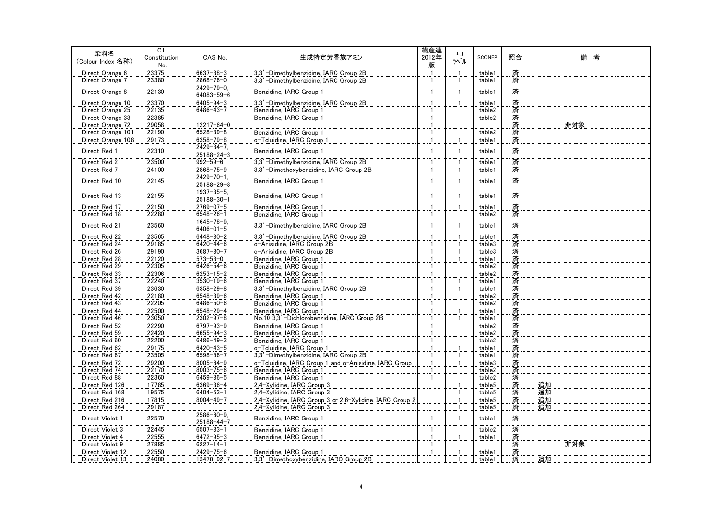| 染料名<br>(Colour Index 名称)       | C.I.<br>Constitution<br>No. | CAS No.                               | 生成特定芳香族アミン                                                          | 繊産連<br>2012年<br>版 | IJ<br>ラベル    | <b>SCCNFP</b>    | 照合 | 備 考 |
|--------------------------------|-----------------------------|---------------------------------------|---------------------------------------------------------------------|-------------------|--------------|------------------|----|-----|
| Direct Orange 6                | 23375                       | $6637 - 88 - 3$                       | 3,3' -Dimethylbenzidine, IARC Group 2B                              |                   |              | table1           | 済  |     |
| Direct Orange 7                | 23380                       | $2868 - 76 - 0$                       | 3,3' -Dimethylbenzidine, IARC Group 2B                              | -1                |              | table1           | 済  |     |
| Direct Orange 8                | 22130                       | $2429 - 79 - 0$<br>64083-59-6         | Benzidine, IARC Group 1                                             | $\mathbf{1}$      | $\mathbf{1}$ | table1           | 済  |     |
| Direct Orange 10               | 23370                       | $6405 - 94 - 3$                       | 3.3' -Dimethylbenzidine. IARC Group 2B                              |                   |              | table1           | 済済 |     |
| Direct Orange 25               | 22135                       | $6486 - 43 - 7$                       | Benzidine, IARC Group 1                                             |                   |              | table2           |    |     |
| Direct Orange 33               | 22385                       |                                       | Benzidine, IARC Group 1                                             |                   |              | table2           | 済  |     |
| Direct Orange 72               | 29058                       | $12217 - 64 - 0$                      |                                                                     | -1                |              |                  | 済  | 非対象 |
| Direct Orange 101              | 22190                       | $6528 - 39 - 8$                       | Benzidine, IARC Group 1                                             |                   |              | table2           | 済  |     |
| Direct Orange 108              | 29173                       | $6358 - 79 - 8$                       | o-Toluidine, IARC Group 1                                           |                   |              | table1           | 済  |     |
| Direct Red 1                   | 22310                       | $2429 - 84 - 7$ .<br>$25188 - 24 - 3$ | Benzidine, IARC Group 1                                             | 1                 | $\mathbf{1}$ | table1           | 済  |     |
| Direct Red 2                   | 23500                       | $992 - 59 - 6$                        | 3,3' -Dimethylbenzidine, IARC Group 2B                              | $\overline{1}$    |              | table1           | 済  |     |
| Direct Red 7                   | 24100                       | $2868 - 75 - 9$                       | 3,3' -Dimethoxybenzidine, IARC Group 2B                             | -1                |              | table1           | 済  |     |
| Direct Red 10                  | 22145                       | $2429 - 70 - 1$ .<br>25188-29-8       | Benzidine, IARC Group 1                                             | $\mathbf{1}$      | $\mathbf{1}$ | table1           | 済  |     |
| Direct Red 13                  | 22155                       | $1937 - 35 - 5$<br>25188-30-1         | Benzidine, IARC Group 1                                             | 1                 | $\mathbf{1}$ | table1           | 済  |     |
| Direct Red 17                  | 22150                       | $2769 - 07 - 5$                       | Benzidine, IARC Group 1                                             | 1                 |              | table1           | 済  |     |
| Direct Red 18                  | 22280                       | $6548 - 26 - 1$                       | Benzidine, IARC Group 1                                             | -1                |              | table2           | 済  |     |
| Direct Red 21                  | 23560                       | $1645 - 78 - 9$<br>$6406 - 01 - 5$    | 3,3' -Dimethylbenzidine, IARC Group 2B                              | $\mathbf{1}$      | $\mathbf{1}$ | table1           | 済  |     |
| Direct Red 22                  | 23565                       | $6448 - 80 - 2$                       | 3.3' -Dimethylbenzidine. IARC Group 2B                              |                   |              | table1           | 済  |     |
| Direct Red 24                  | 29185                       | $6420 - 44 - 6$                       | o-Anisidine, IARC Group 2B                                          |                   |              | table3           |    |     |
| Direct Red 26                  | 29190                       | $3687 - 80 - 7$                       | o-Anisidine, IARC Group 2B                                          |                   |              | table3           | 済済 |     |
| Direct Red 28                  | 22120                       | $573 - 58 - 0$                        | Benzidine, IARC Group 1                                             | -1                |              | table1           | 済  |     |
| Direct Red 29                  | 22305                       | $6426 - 54 - 6$                       | Benzidine, IARC Group 1                                             |                   |              | table2           | 済  |     |
| Direct Red 33                  | 22306                       | $6253 - 15 - 2$                       | Benzidine, IARC Group 1                                             |                   |              | table2           |    |     |
| Direct Red 37                  | 22240                       | $3530 - 19 - 6$                       | Benzidine, IARC Group 1                                             |                   |              | table1           | 済済 |     |
| Direct Red 39                  | 23630                       | $6358 - 29 - 8$                       | 3.3' -Dimethylbenzidine, IARC Group 2B                              |                   |              | table1           | 済  |     |
| Direct Red 42                  | 22180                       | $6548 - 39 - 6$                       | Benzidine, IARC Group 1                                             | $\mathbf{1}$      |              | table2           | 済  |     |
| Direct Red 43                  | 22205                       | $6486 - 50 - 6$                       | Benzidine, IARC Group 1                                             | -1                |              | table2           | 済  |     |
| Direct Red 44                  | 22500                       | $6548 - 29 - 4$                       | Benzidine, IARC Group 1                                             |                   |              | table1           | 済  |     |
| Direct Red 46                  | 23050                       | $2302 - 97 - 8$                       | No.10 3.3' -Dichlorobenzidine. IARC Group 2B                        | 1                 |              | table1           |    |     |
| Direct Red 52                  | 22290                       | $6797 - 93 - 9$                       | Benzidine, IARC Group 1                                             | 1                 |              | table2           | 済済 |     |
| Direct Red 59                  | 22420                       | $6655 - 94 - 3$                       | Benzidine, IARC Group 1                                             |                   |              | table2           | 済  |     |
| Direct Red 60                  | 22200                       | $6486 - 49 - 3$                       | Benzidine, IARC Group 1                                             | 1                 |              | table2           | 済済 |     |
| Direct Red 62<br>Direct Red 67 | 29175<br>23505              | $6420 - 43 - 5$<br>6598-56-7          | o-Toluidine, IARC Group 1<br>3,3' -Dimethylbenzidine, IARC Group 2B |                   |              | table1<br>table1 | 済  |     |
| Direct Red 72                  | 29200                       | $8005 - 64 - 9$                       | o-Toluidine, IARC Group 1 and o-Anisidine, IARC Group               | $\mathbf{1}$      |              | table3           | 済  |     |
| Direct Red 74                  | 22170                       | $8003 - 75 - 6$                       | Benzidine, IARC Group 1                                             |                   |              | table2           | 済  |     |
| Direct Red 88                  | 22360                       | $6459 - 86 - 5$                       | Benzidine, IARC Group 1                                             |                   |              | table2           | 済  |     |
| Direct Red 126                 | 17785                       | $6369 - 36 - 4$                       | 2,4-Xylidine, IARC Group 3                                          |                   |              | table5           | 済  | 追加  |
| Direct Red 168                 | 19575                       | $6404 - 53 - 1$                       | 2,4-Xylidine, IARC Group 3                                          |                   |              | table5           | 済  | 追加  |
| Direct Red 216                 | 17815                       | $8004 - 49 - 7$                       | 2.4-Xylidine, IARC Group 3 or 2.6-Xylidine, IARC Group 2            |                   |              | table5           | 済  | 追加  |
| Direct Red 264                 | 29187                       |                                       | 2,4-Xylidine, IARC Group 3                                          |                   |              | table5           | 済  | 追加  |
| Direct Violet 1                | 22570                       | $2586 - 60 - 9$ .<br>25188-44-7       | Benzidine, IARC Group 1                                             | 1                 | $\mathbf{1}$ | table1           | 済  |     |
| Direct Violet 3                | 22445                       | $6507 - 83 - 1$                       | Benzidine, IARC Group 1                                             | 1                 |              | table2           | 済  |     |
| Direct Violet 4                | 22555                       | $6472 - 95 - 3$                       | Benzidine, IARC Group 1                                             |                   |              | table1           | 済  |     |
| Direct Violet 9                | 27885                       | $6227 - 14 - 1$                       |                                                                     |                   |              |                  | 済  | 非対象 |
| Direct Violet 12               | 22550                       | $2429 - 75 - 6$                       | Benzidine, IARC Group 1                                             | $\mathbf{1}$      |              | table1           | 済  |     |
| Direct Violet 13               | 24080                       | 13478-92-7                            | 3,3' -Dimethoxybenzidine, IARC Group 2B                             |                   |              | table 1          | 済  | 追加  |